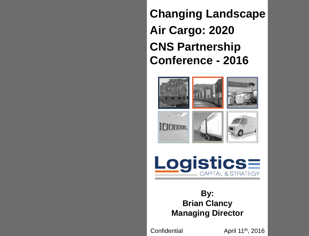**Changing Landscape Air Cargo: 2020 CNS Partnership Conference - 2016**











## **By: Brian Clancy Managing Director**

**Confidential** 

April 11th, 2016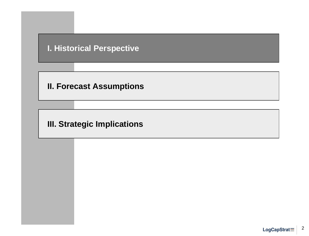## **I. Historical Perspective**

**II. Forecast Assumptions**

**III. Strategic Implications**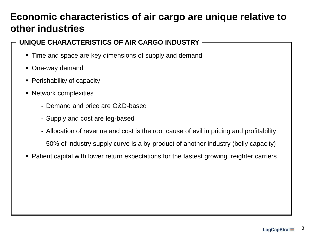# **Economic characteristics of air cargo are unique relative to other industries**

### **UNIQUE CHARACTERISTICS OF AIR CARGO INDUSTRY**

- Time and space are key dimensions of supply and demand
- One-way demand
- Perishability of capacity
- Network complexities
	- Demand and price are O&D-based
	- Supply and cost are leg-based
	- Allocation of revenue and cost is the root cause of evil in pricing and profitability
	- 50% of industry supply curve is a by-product of another industry (belly capacity)
- Patient capital with lower return expectations for the fastest growing freighter carriers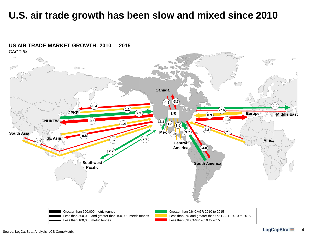## **U.S. air trade growth has been slow and mixed since 2010**



### **US AIR TRADE MARKET GROWTH: 2010 – 2015**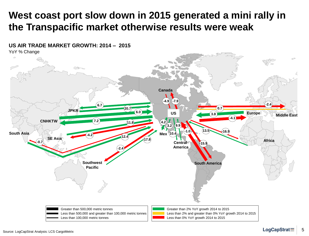# **West coast port slow down in 2015 generated a mini rally in the Transpacific market otherwise results were weak**

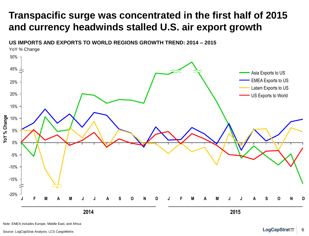# **Transpacific surge was concentrated in the first half of 2015 and currency headwinds stalled U.S. air export growth**

**US IMPORTS AND EXPORTS TO WORLD REGIONS GROWTH TREND: 2014 – 2015**



Note: EMEA includes Europe, Middle East, and Africa

Source: LogCapStrat Analysis: LCS CargoMetrix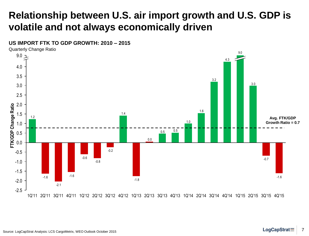# **Relationship between U.S. air import growth and U.S. GDP is volatile and not always economically driven**



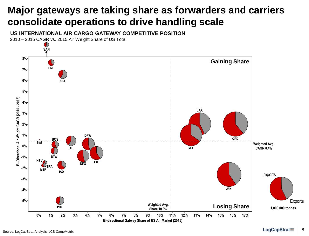# **Major gateways are taking share as forwarders and carriers consolidate operations to drive handling scale**

**US INTERNATIONAL AIR CARGO GATEWAY COMPETITIVE POSITION**

2010 – 2015 CAGR vs. 2015 Air Weight Share of US Total

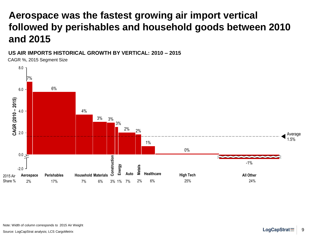# **Aerospace was the fastest growing air import vertical followed by perishables and household goods between 2010 and 2015**

#### **US AIR IMPORTS HISTORICAL GROWTH BY VERTICAL: 2010 – 2015**

CAGR %, 2015 Segment Size



Source: LogCapStrat analysis; LCS CargoMetrix **Example 2009** Source: LogCapStrat **Example 2009**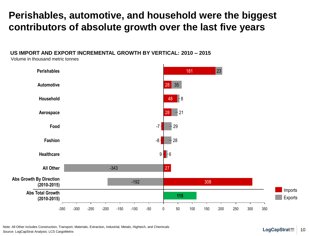## **Perishables, automotive, and household were the biggest contributors of absolute growth over the last five years**

#### **US IMPORT AND EXPORT INCREMENTAL GROWTH BY VERTICAL: 2010 – 2015**

Volume in thousand metric tonnes



Note: All Other includes Construction, Transport, Materials, Extraction, Industrial, Metals, Hightech, and Chemicals Source: LogCapStrat Analysis: LCS CargoMetrix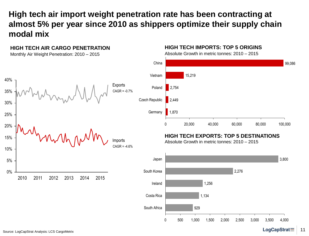## **High tech air import weight penetration rate has been contracting at almost 5% per year since 2010 as shippers optimize their supply chain modal mix**



#### LogCapStrat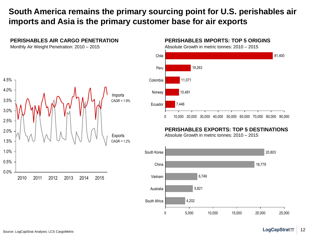## **South America remains the primary sourcing point for U.S. perishables air imports and Asia is the primary customer base for air exports**



#### **PERISHABLES AIR CARGO PENETRATION**

Monthly Air Weight Penetration: 2010 – 2015

#### **PERISHABLES IMPORTS: TOP 5 ORIGINS**

Absolute Growth in metric tonnes: 2010 – 2015



#### **PERISHABLES EXPORTS: TOP 5 DESTINATIONS**

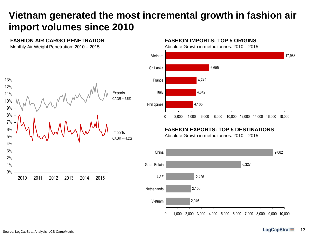# **Vietnam generated the most incremental growth in fashion air import volumes since 2010**

#### **FASHION AIR CARGO PENETRATION**

Monthly Air Weight Penetration: 2010 – 2015



#### **FASHION IMPORTS: TOP 5 ORIGINS**

Absolute Growth in metric tonnes: 2010 – 2015



### **FASHION EXPORTS: TOP 5 DESTINATIONS**

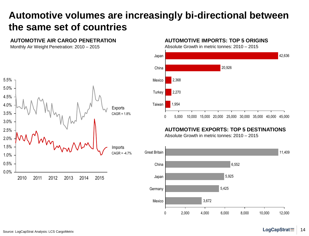# **Automotive volumes are increasingly bi-directional between the same set of countries**

#### **AUTOMOTIVE AIR CARGO PENETRATION**

Monthly Air Weight Penetration: 2010 – 2015



#### **AUTOMOTIVE IMPORTS: TOP 5 ORIGINS**

Absolute Growth in metric tonnes: 2010 – 2015



### **AUTOMOTIVE EXPORTS: TOP 5 DESTINATIONS**

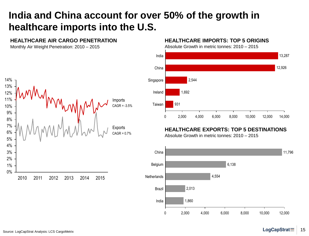# **India and China account for over 50% of the growth in healthcare imports into the U.S.**

#### **HEALTHCARE AIR CARGO PENETRATION**

Monthly Air Weight Penetration: 2010 – 2015



#### **HEALTHCARE IMPORTS: TOP 5 ORIGINS**

Absolute Growth in metric tonnes: 2010 – 2015



### **HEALTHCARE EXPORTS: TOP 5 DESTINATIONS**

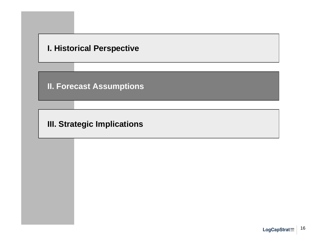### **I. Historical Perspective**

**II. Forecast Assumptions**

**III. Strategic Implications**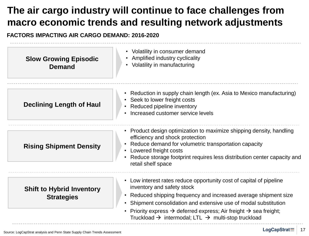# **The air cargo industry will continue to face challenges from macro economic trends and resulting network adjustments**

### **FACTORS IMPACTING AIR CARGO DEMAND: 2016-2020**

| <b>Slow Growing Episodic</b><br><b>Demand</b>         | Volatility in consumer demand<br>Amplified industry cyclicality<br>• Volatility in manufacturing                                                                                                                                                                                                                                                                                                                 |
|-------------------------------------------------------|------------------------------------------------------------------------------------------------------------------------------------------------------------------------------------------------------------------------------------------------------------------------------------------------------------------------------------------------------------------------------------------------------------------|
| <b>Declining Length of Haul</b>                       | • Reduction in supply chain length (ex. Asia to Mexico manufacturing)<br>• Seek to lower freight costs<br>• Reduced pipeline inventory<br>• Increased customer service levels                                                                                                                                                                                                                                    |
| <b>Rising Shipment Density</b>                        | • Product design optimization to maximize shipping density, handling<br>efficiency and shock protection<br>Reduce demand for volumetric transportation capacity<br>• Lowered freight costs<br>• Reduce storage footprint requires less distribution center capacity and<br>retail shelf space                                                                                                                    |
| <b>Shift to Hybrid Inventory</b><br><b>Strategies</b> | Low interest rates reduce opportunity cost of capital of pipeline<br>inventory and safety stock<br>• Reduced shipping frequency and increased average shipment size<br>• Shipment consolidation and extensive use of modal substitution<br>Priority express $\rightarrow$ deferred express; Air freight $\rightarrow$ sea freight;<br>Truckload $\rightarrow$ intermodal; LTL $\rightarrow$ multi-stop truckload |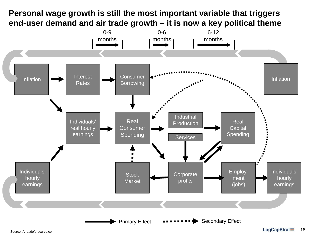## **Personal wage growth is still the most important variable that triggers end-user demand and air trade growth – it is now a key political theme**

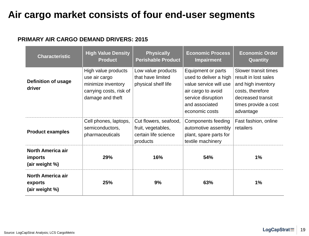# **Air cargo market consists of four end-user segments**

### **PRIMARY AIR CARGO DEMAND DRIVERS: 2015**

| <b>Characteristic</b>                                        | <b>High Value Density</b><br><b>Product</b>                                                               | <b>Physically</b><br><b>Perishable Product</b>                                  | <b>Economic Process</b><br><b>Impairment</b>                                                                                                           | <b>Economic Order</b><br>Quantity                                                                                                                |
|--------------------------------------------------------------|-----------------------------------------------------------------------------------------------------------|---------------------------------------------------------------------------------|--------------------------------------------------------------------------------------------------------------------------------------------------------|--------------------------------------------------------------------------------------------------------------------------------------------------|
| <b>Definition of usage</b><br>driver                         | High value products<br>use air cargo<br>minimize inventory<br>carrying costs, risk of<br>damage and theft | Low value products<br>that have limited<br>physical shelf life                  | Equipment or parts<br>used to deliver a high<br>value service will use<br>air cargo to avoid<br>service disruption<br>and associated<br>economic costs | Slower transit times<br>result in lost sales<br>and high inventory<br>costs, therefore<br>decreased transit<br>times provide a cost<br>advantage |
| <b>Product examples</b>                                      | Cell phones, laptops,<br>semiconductors,<br>pharmaceuticals                                               | Cut flowers, seafood,<br>fruit, vegetables,<br>certain life science<br>products | Components feeding<br>automotive assembly<br>plant, spare parts for<br>textile machinery                                                               | Fast fashion, online<br>retailers                                                                                                                |
| <b>North America air</b><br><i>imports</i><br>(air weight %) | 29%                                                                                                       | 16%                                                                             | 54%                                                                                                                                                    | 1%                                                                                                                                               |
| <b>North America air</b><br>exports<br>(air weight %)        | 25%                                                                                                       | 9%                                                                              | 63%                                                                                                                                                    | 1%                                                                                                                                               |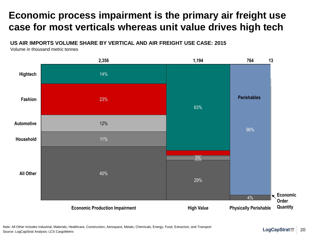# **Economic process impairment is the primary air freight use case for most verticals whereas unit value drives high tech**

#### **US AIR IMPORTS VOLUME SHARE BY VERTICAL AND AIR FREIGHT USE CASE: 2015**

Volume in thousand metric tonnes

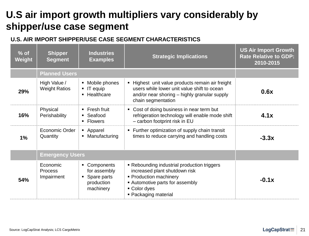# **U.S air import growth multipliers vary considerably by shipper/use case segment**

### **U.S. AIR IMPORT SHIPPER/USE CASE SEGMENT CHARACTERISTICS**

| $%$ of<br>Weight | <b>Shipper</b><br><b>Segment</b>     | <b>Industries</b><br><b>Examples</b>                                     | <b>Strategic Implications</b>                                                                                                                                                     | <b>US Air Import Growth</b><br><b>Rate Relative to GDP:</b><br>2010-2015 |
|------------------|--------------------------------------|--------------------------------------------------------------------------|-----------------------------------------------------------------------------------------------------------------------------------------------------------------------------------|--------------------------------------------------------------------------|
|                  | <b>Planned Users</b>                 |                                                                          |                                                                                                                                                                                   |                                                                          |
| 29%              | High Value /<br><b>Weight Ratios</b> | • Mobile phones<br>$\blacksquare$ IT equip<br>• Healthcare               | - Highest unit value products remain air freight<br>users while lower unit value shift to ocean<br>and/or near shoring – highly granular supply<br>chain segmentation             | 0.6x                                                                     |
| 16%              | Physical<br>Perishability            | $\blacksquare$ Fresh fruit<br>• Seafood<br>• Flowers                     | • Cost of doing business in near term but<br>refrigeration technology will enable mode shift<br>- carbon footprint risk in EU                                                     | 4.1x                                                                     |
| 1%               | Economic Order<br>Quantity           | • Apparel<br>• Manufacturing                                             | • Further optimization of supply chain transit<br>times to reduce carrying and handling costs                                                                                     | $-3.3x$                                                                  |
|                  | <b>Emergency Users</b>               |                                                                          |                                                                                                                                                                                   |                                                                          |
| 54%              | Economic<br>Process<br>Impairment    | • Components<br>for assembly<br>• Spare parts<br>production<br>machinery | • Rebounding industrial production triggers<br>increased plant shutdown risk<br>• Production machinery<br>• Automotive parts for assembly<br>• Color dyes<br>• Packaging material | $-0.1x$                                                                  |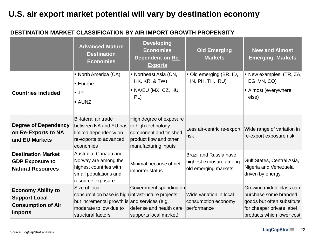## **U.S. air export market potential will vary by destination economy**

### **DESTINATION MARKET CLASSIFICATION BY AIR IMPORT GROWTH PROPENSITY**

|                                                                                                  | <b>Advanced Mature</b><br><b>Destination</b><br><b>Economies</b>                                                                                                  | <b>Developing</b><br><b>Economies</b><br>Dependent on Re-<br><b>Exports</b>                                               | <b>Old Emerging</b><br><b>Markets</b>                                           | <b>New and Almost</b><br><b>Emerging Markets</b>                                                                                          |
|--------------------------------------------------------------------------------------------------|-------------------------------------------------------------------------------------------------------------------------------------------------------------------|---------------------------------------------------------------------------------------------------------------------------|---------------------------------------------------------------------------------|-------------------------------------------------------------------------------------------------------------------------------------------|
| <b>Countries included</b>                                                                        | • North America (CA)<br>$\blacksquare$ Europe<br>$\blacksquare$ JP<br><b>AUNZ</b>                                                                                 | • Northeast Asia (CN,<br>HK, KR, & TW)<br>· NA/EU (MX, CZ, HU,<br>PL)                                                     | Old emerging (BR, ID,<br>IN, PH, TH, RU)                                        | • New examples: (TR, ZA,<br>EG, VN, CO)<br>• Almost (everywhere<br>else)                                                                  |
| <b>Degree of Dependency</b><br>on Re-Exports to NA<br>and EU Markets                             | Bi-lateral air trade<br>between NA and EU has<br>limited dependency on<br>re-exports to advanced<br>economies                                                     | High degree of exposure<br>to high technology<br>component and finished<br>product flow and other<br>manufacturing inputs | Less air-centric re-export<br>risk                                              | Wide range of variation in<br>re-export exposure risk                                                                                     |
| <b>Destination Market</b><br><b>GDP Exposure to</b><br><b>Natural Resources</b>                  | Australia, Canada and<br>Norway are among the<br>highest countries with<br>small populations and<br>resource exposure                                             | Minimal because of net<br>importer status                                                                                 | <b>Brazil and Russia have</b><br>highest exposure among<br>old emerging markets | Gulf States, Central Asia,<br>Nigeria and Venezuela<br>driven by energy                                                                   |
| <b>Economy Ability to</b><br><b>Support Local</b><br><b>Consumption of Air</b><br><b>Imports</b> | Size of local<br>consumption base is high infrastructure projects<br>but incremental growth is and services (e.g.<br>moderate to low due to<br>structural factors | Government spending on<br>defense and health care<br>supports local market)                                               | Wide variation in local<br>consumption economy<br>performance                   | Growing middle class can<br>purchase some branded<br>goods but often substitute<br>for cheaper private label<br>products which lower cost |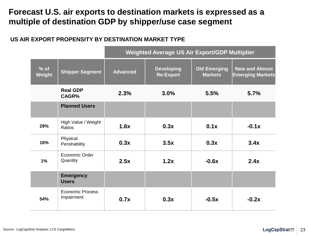## **Forecast U.S. air exports to destination markets is expressed as a multiple of destination GDP by shipper/use case segment**

### **US AIR EXPORT PROPENSITY BY DESTINATION MARKET TYPE**

|                  |                                       | <b>Weighted Average US Air Export/GDP Multiplier</b> |                                       |                                       |                                                  |
|------------------|---------------------------------------|------------------------------------------------------|---------------------------------------|---------------------------------------|--------------------------------------------------|
| $%$ of<br>Weight | <b>Shipper Segment</b>                | <b>Advanced</b>                                      | <b>Developing</b><br><b>Re-Export</b> | <b>Old Emerging</b><br><b>Markets</b> | <b>New and Almost</b><br><b>Emerging Markets</b> |
|                  | <b>Real GDP</b><br>CAGR%              | 2.3%                                                 | 3.0%                                  | 5.5%                                  | 5.7%                                             |
|                  | <b>Planned Users</b>                  |                                                      |                                       |                                       |                                                  |
| 29%              | High Value / Weight<br><b>Ratios</b>  | 1.6x                                                 | 0.3x                                  | 0.1x                                  | $-0.1x$                                          |
| 16%              | Physical<br>Perishability             | 0.3x                                                 | 3.5x                                  | 0.3x                                  | 3.4x                                             |
| 1%               | Economic Order<br>Quantity            | 2.5x                                                 | 1.2x                                  | $-0.6x$                               | 2.4x                                             |
|                  | <b>Emergency</b><br><b>Users</b>      |                                                      |                                       |                                       |                                                  |
| 54%              | <b>Economic Process</b><br>Impairment | 0.7x                                                 | 0.3x                                  | $-0.5x$                               | $-0.2x$                                          |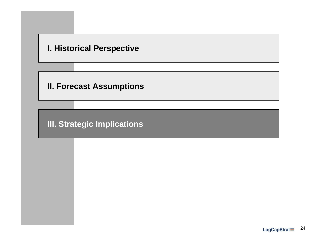### **I. Historical Perspective**

**II. Forecast Assumptions**

**III. Strategic Implications**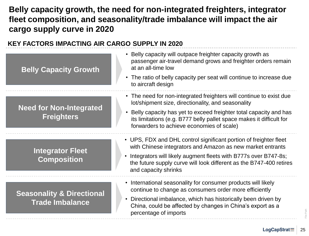## **Belly capacity growth, the need for non-integrated freighters, integrator fleet composition, and seasonality/trade imbalance will impact the air cargo supply curve in 2020**

#### **KEY FACTORS IMPACTING AIR CARGO SUPPLY IN 2020 Belly Capacity Growth Need for Non-Integrated Freighters Integrator Fleet Composition Seasonality & Directional Trade Imbalance** • Belly capacity will outpace freighter capacity growth as passenger air-travel demand grows and freighter orders remain at an all-time low • The ratio of belly capacity per seat will continue to increase due to aircraft design • The need for non-integrated freighters will continue to exist due lot/shipment size, directionality, and seasonality • Belly capacity has yet to exceed freighter total capacity and has its limitations (e.g. B777 belly pallet space makes it difficult for forwarders to achieve economies of scale) • UPS, FDX and DHL control significant portion of freighter fleet with Chinese integrators and Amazon as new market entrants • Integrators will likely augment fleets with B777s over B747-8s; the future supply curve will look different as the B747-400 retires and capacity shrinks • International seasonality for consumer products will likely continue to change as consumers order more efficiently • Directional imbalance, which has historically been driven by China, could be affected by changes in China's export as a percentage of imports

File Path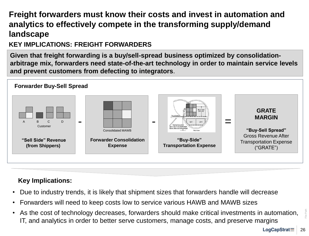## **Freight forwarders must know their costs and invest in automation and analytics to effectively compete in the transforming supply/demand landscape**

### **KEY IMPLICATIONS: FREIGHT FORWARDERS**

**Given that freight forwarding is a buy/sell-spread business optimized by consolidationarbitrage mix, forwarders need state-of-the-art technology in order to maintain service levels and prevent customers from defecting to integrators**.



### **Key Implications:**

- Due to industry trends, it is likely that shipment sizes that forwarders handle will decrease
- Forwarders will need to keep costs low to service various HAWB and MAWB sizes
- As the cost of technology decreases, forwarders should make critical investments in automation, IT, and analytics in order to better serve customers, manage costs, and preserve margins

File Path